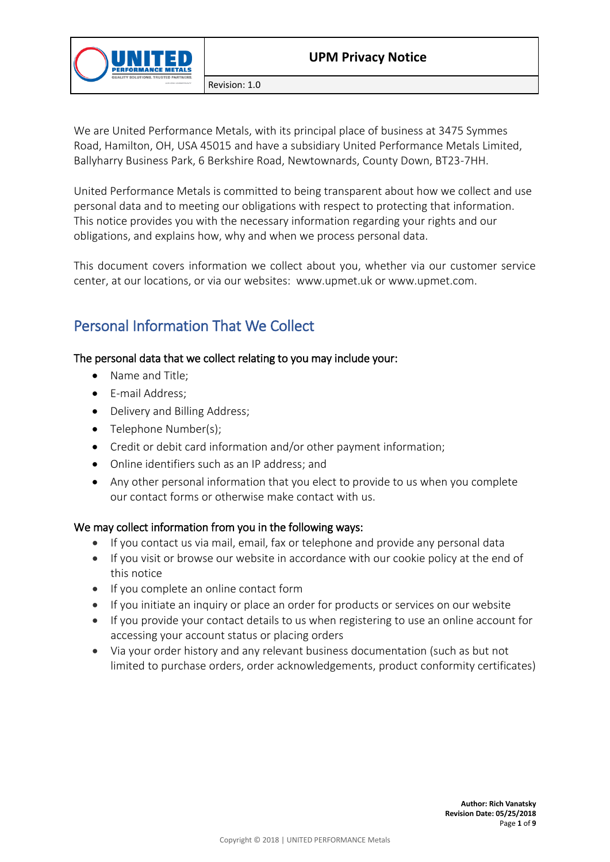

We are United Performance Metals, with its principal place of business at 3475 Symmes Road, Hamilton, OH, USA 45015 and have a subsidiary United Performance Metals Limited, Ballyharry Business Park, 6 Berkshire Road, Newtownards, County Down, BT23-7HH.

United Performance Metals is committed to being transparent about how we collect and use personal data and to meeting our obligations with respect to protecting that information. This notice provides you with the necessary information regarding your rights and our obligations, and explains how, why and when we process personal data.

This document covers information we collect about you, whether via our customer service center, at our locations, or via our websites: www.upmet.uk or www.upmet.com.

# Personal Information That We Collect

### The personal data that we collect relating to you may include your:

- Name and Title:
- E-mail Address;
- Delivery and Billing Address;
- Telephone Number(s);
- Credit or debit card information and/or other payment information;
- Online identifiers such as an IP address; and
- Any other personal information that you elect to provide to us when you complete our contact forms or otherwise make contact with us.

### We may collect information from you in the following ways:

- If you contact us via mail, email, fax or telephone and provide any personal data
- If you visit or browse our website in accordance with our cookie policy at the end of this notice
- If you complete an online contact form
- If you initiate an inquiry or place an order for products or services on our website
- If you provide your contact details to us when registering to use an online account for accessing your account status or placing orders
- Via your order history and any relevant business documentation (such as but not limited to purchase orders, order acknowledgements, product conformity certificates)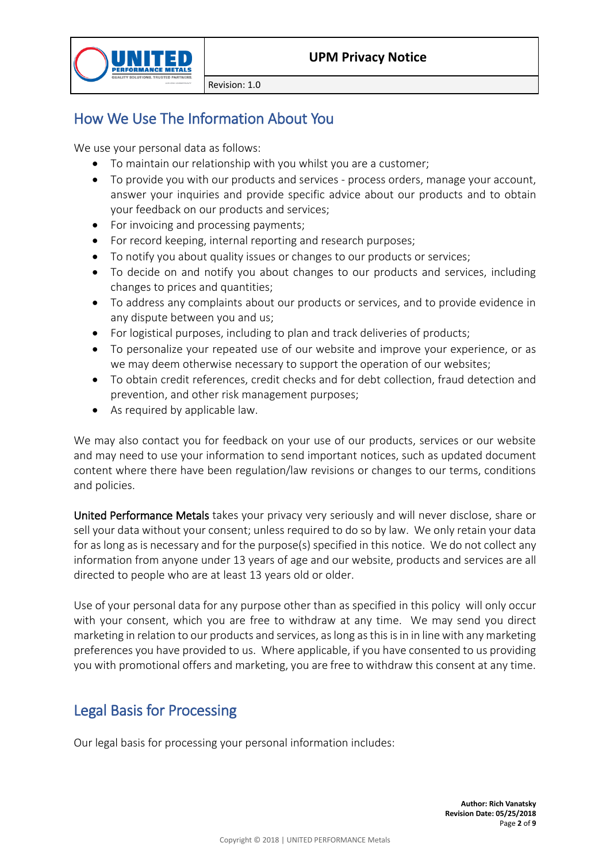

# How We Use The Information About You

We use your personal data as follows:

- To maintain our relationship with you whilst you are a customer;
- To provide you with our products and services process orders, manage your account, answer your inquiries and provide specific advice about our products and to obtain your feedback on our products and services;
- For invoicing and processing payments;
- For record keeping, internal reporting and research purposes;
- To notify you about quality issues or changes to our products or services;
- To decide on and notify you about changes to our products and services, including changes to prices and quantities;
- To address any complaints about our products or services, and to provide evidence in any dispute between you and us;
- For logistical purposes, including to plan and track deliveries of products;
- To personalize your repeated use of our website and improve your experience, or as we may deem otherwise necessary to support the operation of our websites;
- To obtain credit references, credit checks and for debt collection, fraud detection and prevention, and other risk management purposes;
- As required by applicable law.

We may also contact you for feedback on your use of our products, services or our website and may need to use your information to send important notices, such as updated document content where there have been regulation/law revisions or changes to our terms, conditions and policies.

United Performance Metals takes your privacy very seriously and will never disclose, share or sell your data without your consent; unless required to do so by law. We only retain your data for as long as is necessary and for the purpose(s) specified in this notice. We do not collect any information from anyone under 13 years of age and our website, products and services are all directed to people who are at least 13 years old or older.

Use of your personal data for any purpose other than as specified in this policy will only occur with your consent, which you are free to withdraw at any time. We may send you direct marketing in relation to our products and services, as long as this is in in line with any marketing preferences you have provided to us. Where applicable, if you have consented to us providing you with promotional offers and marketing, you are free to withdraw this consent at any time.

## Legal Basis for Processing

Our legal basis for processing your personal information includes: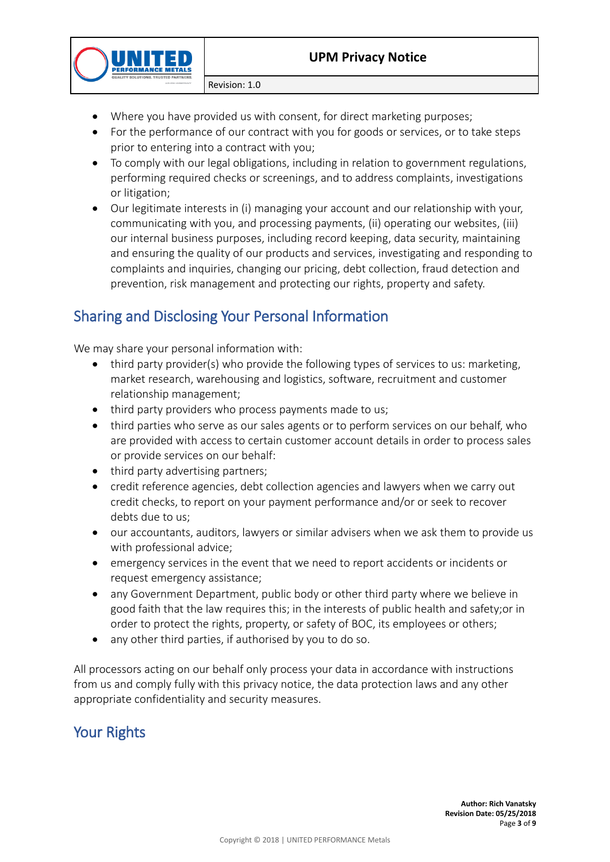

- Where you have provided us with consent, for direct marketing purposes;
- For the performance of our contract with you for goods or services, or to take steps prior to entering into a contract with you;
- To comply with our legal obligations, including in relation to government regulations, performing required checks or screenings, and to address complaints, investigations or litigation;
- Our legitimate interests in (i) managing your account and our relationship with your, communicating with you, and processing payments, (ii) operating our websites, (iii) our internal business purposes, including record keeping, data security, maintaining and ensuring the quality of our products and services, investigating and responding to complaints and inquiries, changing our pricing, debt collection, fraud detection and prevention, risk management and protecting our rights, property and safety.

# Sharing and Disclosing Your Personal Information

We may share your personal information with:

- third party provider(s) who provide the following types of services to us: marketing, market research, warehousing and logistics, software, recruitment and customer relationship management;
- third party providers who process payments made to us;
- third parties who serve as our sales agents or to perform services on our behalf, who are provided with access to certain customer account details in order to process sales or provide services on our behalf:
- third party advertising partners;
- credit reference agencies, debt collection agencies and lawyers when we carry out credit checks, to report on your payment performance and/or or seek to recover debts due to us;
- our accountants, auditors, lawyers or similar advisers when we ask them to provide us with professional advice;
- emergency services in the event that we need to report accidents or incidents or request emergency assistance;
- any Government Department, public body or other third party where we believe in good faith that the law requires this; in the interests of public health and safety;or in order to protect the rights, property, or safety of BOC, its employees or others;
- any other third parties, if authorised by you to do so.

All processors acting on our behalf only process your data in accordance with instructions from us and comply fully with this privacy notice, the data protection laws and any other appropriate confidentiality and security measures.

Your Rights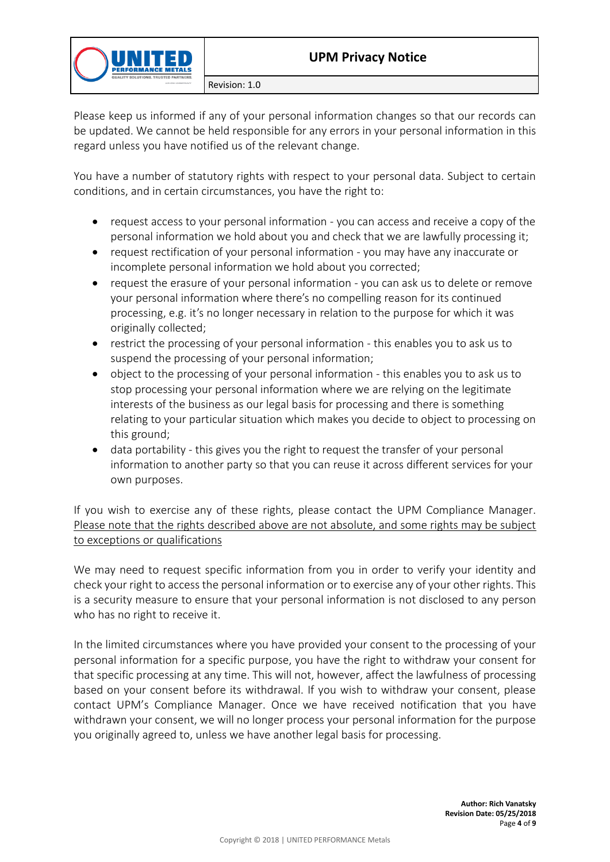

Please keep us informed if any of your personal information changes so that our records can be updated. We cannot be held responsible for any errors in your personal information in this regard unless you have notified us of the relevant change.

You have a number of statutory rights with respect to your personal data. Subject to certain conditions, and in certain circumstances, you have the right to:

- request access to your personal information you can access and receive a copy of the personal information we hold about you and check that we are lawfully processing it;
- request rectification of your personal information you may have any inaccurate or incomplete personal information we hold about you corrected;
- request the erasure of your personal information you can ask us to delete or remove your personal information where there's no compelling reason for its continued processing, e.g. it's no longer necessary in relation to the purpose for which it was originally collected;
- restrict the processing of your personal information this enables you to ask us to suspend the processing of your personal information;
- object to the processing of your personal information this enables you to ask us to stop processing your personal information where we are relying on the legitimate interests of the business as our legal basis for processing and there is something relating to your particular situation which makes you decide to object to processing on this ground;
- data portability this gives you the right to request the transfer of your personal information to another party so that you can reuse it across different services for your own purposes.

If you wish to exercise any of these rights, please contact the UPM Compliance Manager. Please note that the rights described above are not absolute, and some rights may be subject to exceptions or qualifications

We may need to request specific information from you in order to verify your identity and check your right to access the personal information or to exercise any of your other rights. This is a security measure to ensure that your personal information is not disclosed to any person who has no right to receive it.

In the limited circumstances where you have provided your consent to the processing of your personal information for a specific purpose, you have the right to withdraw your consent for that specific processing at any time. This will not, however, affect the lawfulness of processing based on your consent before its withdrawal. If you wish to withdraw your consent, please contact UPM's Compliance Manager. Once we have received notification that you have withdrawn your consent, we will no longer process your personal information for the purpose you originally agreed to, unless we have another legal basis for processing.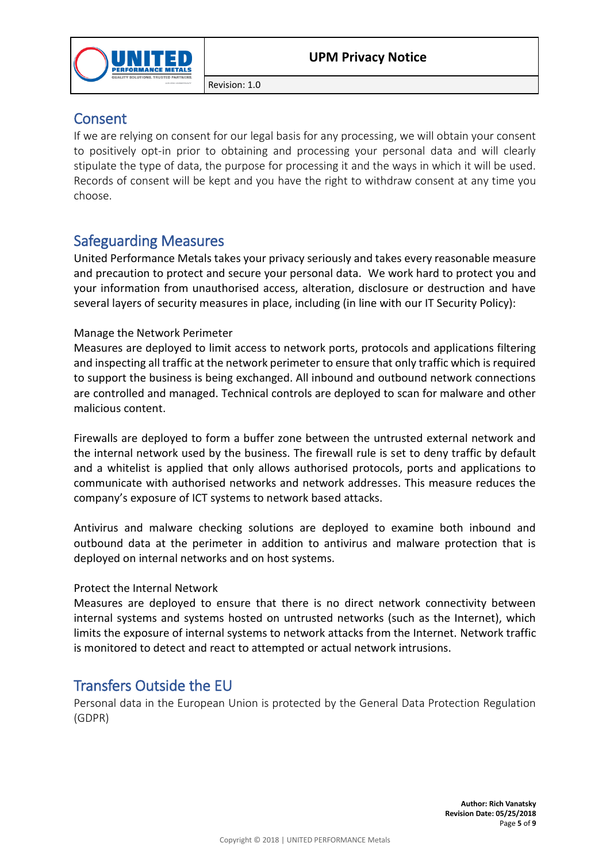

### Consent

If we are relying on consent for our legal basis for any processing, we will obtain your consent to positively opt-in prior to obtaining and processing your personal data and will clearly stipulate the type of data, the purpose for processing it and the ways in which it will be used. Records of consent will be kept and you have the right to withdraw consent at any time you choose.

## Safeguarding Measures

United Performance Metals takes your privacy seriously and takes every reasonable measure and precaution to protect and secure your personal data. We work hard to protect you and your information from unauthorised access, alteration, disclosure or destruction and have several layers of security measures in place, including (in line with our IT Security Policy):

### Manage the Network Perimeter

Measures are deployed to limit access to network ports, protocols and applications filtering and inspecting all traffic at the network perimeter to ensure that only traffic which is required to support the business is being exchanged. All inbound and outbound network connections are controlled and managed. Technical controls are deployed to scan for malware and other malicious content.

Firewalls are deployed to form a buffer zone between the untrusted external network and the internal network used by the business. The firewall rule is set to deny traffic by default and a whitelist is applied that only allows authorised protocols, ports and applications to communicate with authorised networks and network addresses. This measure reduces the company's exposure of ICT systems to network based attacks.

Antivirus and malware checking solutions are deployed to examine both inbound and outbound data at the perimeter in addition to antivirus and malware protection that is deployed on internal networks and on host systems.

### Protect the Internal Network

Measures are deployed to ensure that there is no direct network connectivity between internal systems and systems hosted on untrusted networks (such as the Internet), which limits the exposure of internal systems to network attacks from the Internet. Network traffic is monitored to detect and react to attempted or actual network intrusions.

## Transfers Outside the EU

Personal data in the European Union is protected by the General Data Protection Regulation (GDPR)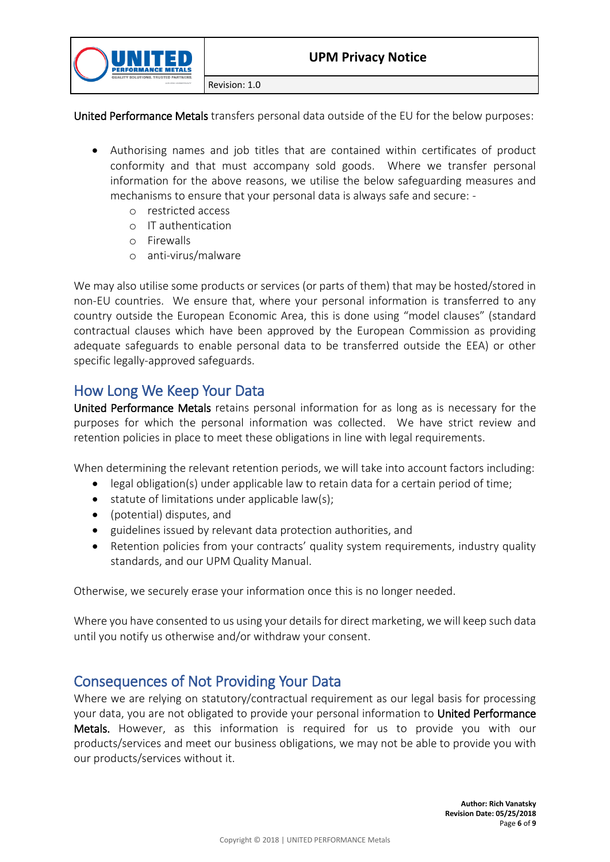

United Performance Metals transfers personal data outside of the EU for the below purposes:

- Authorising names and job titles that are contained within certificates of product conformity and that must accompany sold goods. Where we transfer personal information for the above reasons, we utilise the below safeguarding measures and mechanisms to ensure that your personal data is always safe and secure:
	- o restricted access
	- o IT authentication
	- o Firewalls
	- o anti-virus/malware

We may also utilise some products or services (or parts of them) that may be hosted/stored in non-EU countries. We ensure that, where your personal information is transferred to any country outside the European Economic Area, this is done using "model clauses" (standard contractual clauses which have been approved by the European Commission as providing adequate safeguards to enable personal data to be transferred outside the EEA) or other specific legally-approved safeguards.

### How Long We Keep Your Data

United Performance Metals retains personal information for as long as is necessary for the purposes for which the personal information was collected. We have strict review and retention policies in place to meet these obligations in line with legal requirements.

When determining the relevant retention periods, we will take into account factors including:

- legal obligation(s) under applicable law to retain data for a certain period of time;
- $\bullet$  statute of limitations under applicable law(s);
- (potential) disputes, and
- guidelines issued by relevant data protection authorities, and
- Retention policies from your contracts' quality system requirements, industry quality standards, and our UPM Quality Manual.

Otherwise, we securely erase your information once this is no longer needed.

Where you have consented to us using your details for direct marketing, we will keep such data until you notify us otherwise and/or withdraw your consent.

### Consequences of Not Providing Your Data

Where we are relying on statutory/contractual requirement as our legal basis for processing your data, you are not obligated to provide your personal information to United Performance Metals. However, as this information is required for us to provide you with our products/services and meet our business obligations, we may not be able to provide you with our products/services without it.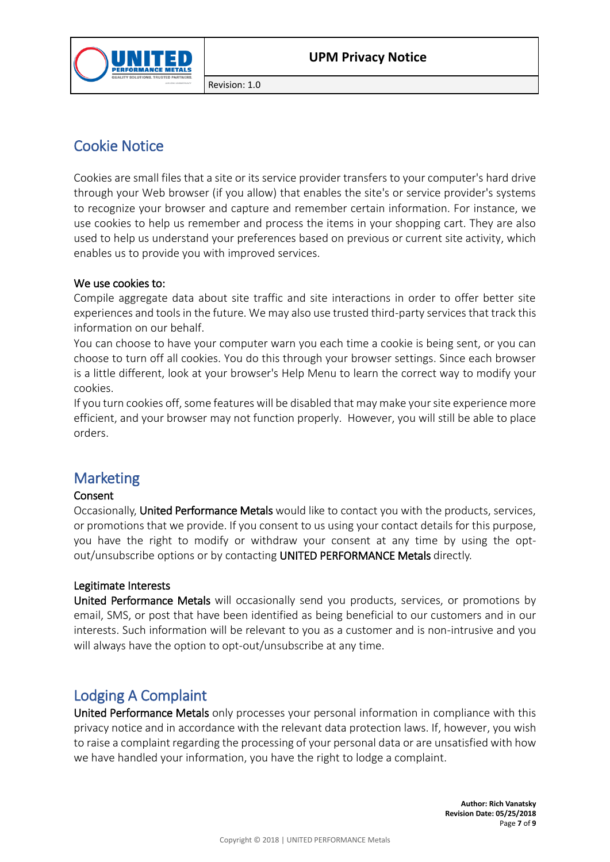

## Cookie Notice

Cookies are small files that a site or its service provider transfers to your computer's hard drive through your Web browser (if you allow) that enables the site's or service provider's systems to recognize your browser and capture and remember certain information. For instance, we use cookies to help us remember and process the items in your shopping cart. They are also used to help us understand your preferences based on previous or current site activity, which enables us to provide you with improved services.

#### We use cookies to:

Compile aggregate data about site traffic and site interactions in order to offer better site experiences and tools in the future. We may also use trusted third-party services that track this information on our behalf.

You can choose to have your computer warn you each time a cookie is being sent, or you can choose to turn off all cookies. You do this through your browser settings. Since each browser is a little different, look at your browser's Help Menu to learn the correct way to modify your cookies.

If you turn cookies off, some features will be disabled that may make your site experience more efficient, and your browser may not function properly. However, you will still be able to place orders.

### **Marketing**

#### Consent

Occasionally, United Performance Metals would like to contact you with the products, services, or promotions that we provide. If you consent to us using your contact details for this purpose, you have the right to modify or withdraw your consent at any time by using the optout/unsubscribe options or by contacting UNITED PERFORMANCE Metals directly.

#### Legitimate Interests

United Performance Metals will occasionally send you products, services, or promotions by email, SMS, or post that have been identified as being beneficial to our customers and in our interests. Such information will be relevant to you as a customer and is non-intrusive and you will always have the option to opt-out/unsubscribe at any time.

### Lodging A Complaint

United Performance Metals only processes your personal information in compliance with this privacy notice and in accordance with the relevant data protection laws. If, however, you wish to raise a complaint regarding the processing of your personal data or are unsatisfied with how we have handled your information, you have the right to lodge a complaint.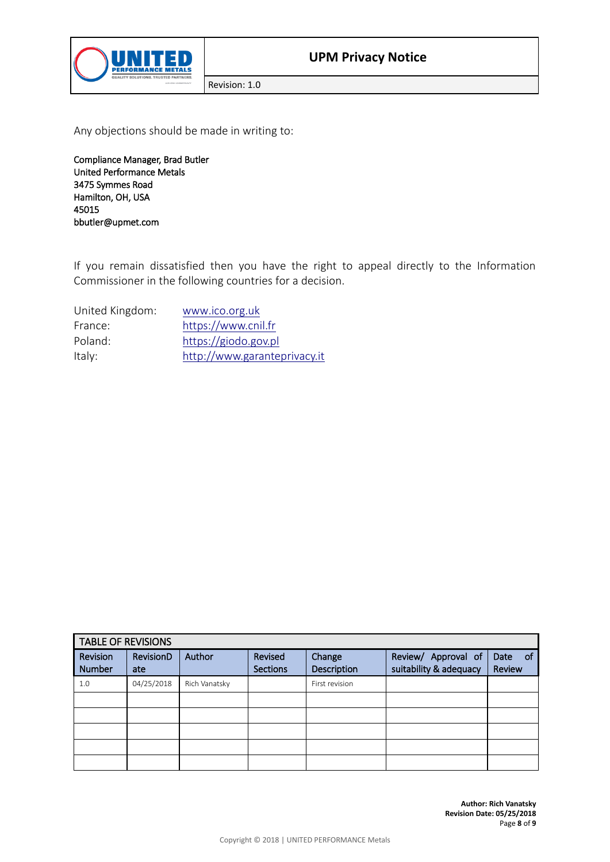

Any objections should be made in writing to:

Compliance Manager, Brad Butler United Performance Metals 3475 Symmes Road Hamilton, OH, USA 45015 bbutler@upmet.com

If you remain dissatisfied then you have the right to appeal directly to the Information Commissioner in the following countries for a decision.

| United Kingdom: | www.ico.org.uk               |
|-----------------|------------------------------|
| France:         | https://www.cnil.fr          |
| Poland:         | https://giodo.gov.pl         |
| Italy:          | http://www.garanteprivacy.it |

| <b>TABLE OF REVISIONS</b> |                  |               |                            |                       |                                               |                       |  |  |  |
|---------------------------|------------------|---------------|----------------------------|-----------------------|-----------------------------------------------|-----------------------|--|--|--|
| Revision<br><b>Number</b> | RevisionD<br>ate | Author        | Revised<br><b>Sections</b> | Change<br>Description | Review/ Approval of<br>suitability & adequacy | Date<br>_of<br>Review |  |  |  |
| 1.0                       | 04/25/2018       | Rich Vanatsky |                            | First revision        |                                               |                       |  |  |  |
|                           |                  |               |                            |                       |                                               |                       |  |  |  |
|                           |                  |               |                            |                       |                                               |                       |  |  |  |
|                           |                  |               |                            |                       |                                               |                       |  |  |  |
|                           |                  |               |                            |                       |                                               |                       |  |  |  |
|                           |                  |               |                            |                       |                                               |                       |  |  |  |

**Author: Rich Vanatsky Revision Date: 05/25/2018** Page **8** of **9**